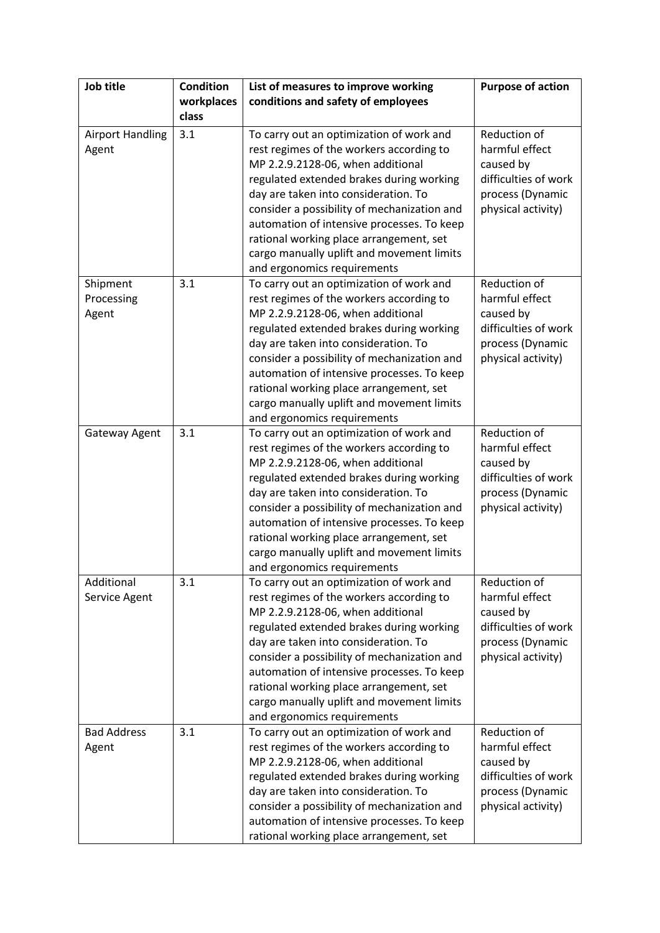| Job title                        | <b>Condition</b><br>workplaces<br>class | List of measures to improve working<br>conditions and safety of employees                                                                                                                                                                                                                                                                                                                                                         | <b>Purpose of action</b>                                                                                      |
|----------------------------------|-----------------------------------------|-----------------------------------------------------------------------------------------------------------------------------------------------------------------------------------------------------------------------------------------------------------------------------------------------------------------------------------------------------------------------------------------------------------------------------------|---------------------------------------------------------------------------------------------------------------|
| <b>Airport Handling</b><br>Agent | 3.1                                     | To carry out an optimization of work and<br>rest regimes of the workers according to<br>MP 2.2.9.2128-06, when additional<br>regulated extended brakes during working<br>day are taken into consideration. To<br>consider a possibility of mechanization and<br>automation of intensive processes. To keep<br>rational working place arrangement, set<br>cargo manually uplift and movement limits<br>and ergonomics requirements | Reduction of<br>harmful effect<br>caused by<br>difficulties of work<br>process (Dynamic<br>physical activity) |
| Shipment<br>Processing<br>Agent  | 3.1                                     | To carry out an optimization of work and<br>rest regimes of the workers according to<br>MP 2.2.9.2128-06, when additional<br>regulated extended brakes during working<br>day are taken into consideration. To<br>consider a possibility of mechanization and<br>automation of intensive processes. To keep<br>rational working place arrangement, set<br>cargo manually uplift and movement limits<br>and ergonomics requirements | Reduction of<br>harmful effect<br>caused by<br>difficulties of work<br>process (Dynamic<br>physical activity) |
| Gateway Agent                    | 3.1                                     | To carry out an optimization of work and<br>rest regimes of the workers according to<br>MP 2.2.9.2128-06, when additional<br>regulated extended brakes during working<br>day are taken into consideration. To<br>consider a possibility of mechanization and<br>automation of intensive processes. To keep<br>rational working place arrangement, set<br>cargo manually uplift and movement limits<br>and ergonomics requirements | Reduction of<br>harmful effect<br>caused by<br>difficulties of work<br>process (Dynamic<br>physical activity) |
| Additional<br>Service Agent      | 3.1                                     | To carry out an optimization of work and<br>rest regimes of the workers according to<br>MP 2.2.9.2128-06, when additional<br>regulated extended brakes during working<br>day are taken into consideration. To<br>consider a possibility of mechanization and<br>automation of intensive processes. To keep<br>rational working place arrangement, set<br>cargo manually uplift and movement limits<br>and ergonomics requirements | Reduction of<br>harmful effect<br>caused by<br>difficulties of work<br>process (Dynamic<br>physical activity) |
| <b>Bad Address</b><br>Agent      | 3.1                                     | To carry out an optimization of work and<br>rest regimes of the workers according to<br>MP 2.2.9.2128-06, when additional<br>regulated extended brakes during working<br>day are taken into consideration. To<br>consider a possibility of mechanization and<br>automation of intensive processes. To keep<br>rational working place arrangement, set                                                                             | Reduction of<br>harmful effect<br>caused by<br>difficulties of work<br>process (Dynamic<br>physical activity) |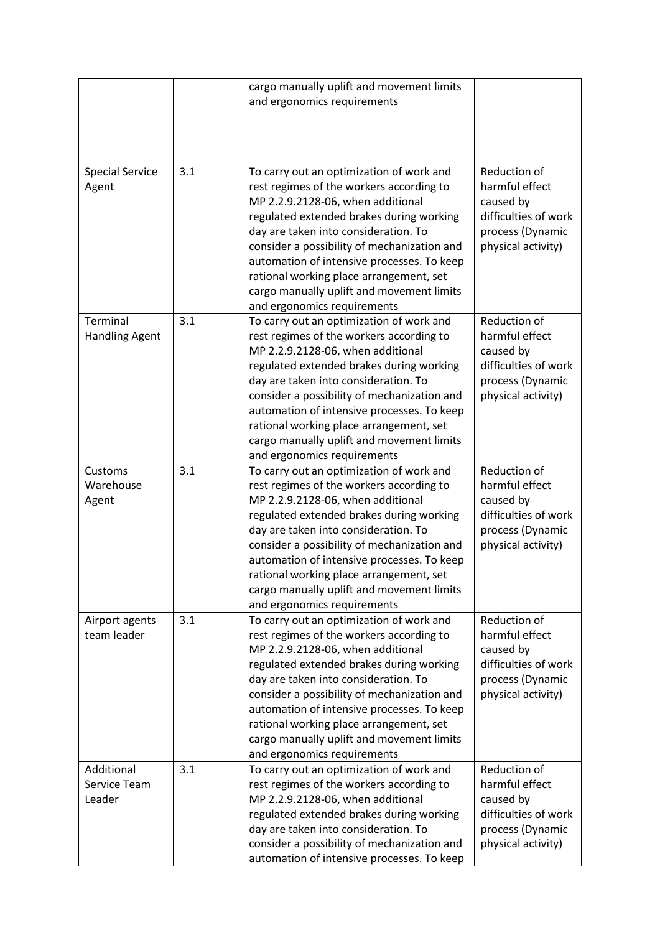|                                      |     | cargo manually uplift and movement limits<br>and ergonomics requirements                                                                                                                                                                                                                                                                                                                                                          |                                                                                                               |
|--------------------------------------|-----|-----------------------------------------------------------------------------------------------------------------------------------------------------------------------------------------------------------------------------------------------------------------------------------------------------------------------------------------------------------------------------------------------------------------------------------|---------------------------------------------------------------------------------------------------------------|
| <b>Special Service</b><br>Agent      | 3.1 | To carry out an optimization of work and<br>rest regimes of the workers according to<br>MP 2.2.9.2128-06, when additional<br>regulated extended brakes during working<br>day are taken into consideration. To<br>consider a possibility of mechanization and<br>automation of intensive processes. To keep<br>rational working place arrangement, set<br>cargo manually uplift and movement limits<br>and ergonomics requirements | Reduction of<br>harmful effect<br>caused by<br>difficulties of work<br>process (Dynamic<br>physical activity) |
| Terminal<br><b>Handling Agent</b>    | 3.1 | To carry out an optimization of work and<br>rest regimes of the workers according to<br>MP 2.2.9.2128-06, when additional<br>regulated extended brakes during working<br>day are taken into consideration. To<br>consider a possibility of mechanization and<br>automation of intensive processes. To keep<br>rational working place arrangement, set<br>cargo manually uplift and movement limits<br>and ergonomics requirements | Reduction of<br>harmful effect<br>caused by<br>difficulties of work<br>process (Dynamic<br>physical activity) |
| Customs<br>Warehouse<br>Agent        | 3.1 | To carry out an optimization of work and<br>rest regimes of the workers according to<br>MP 2.2.9.2128-06, when additional<br>regulated extended brakes during working<br>day are taken into consideration. To<br>consider a possibility of mechanization and<br>automation of intensive processes. To keep<br>rational working place arrangement, set<br>cargo manually uplift and movement limits<br>and ergonomics requirements | Reduction of<br>harmful effect<br>caused by<br>difficulties of work<br>process (Dynamic<br>physical activity) |
| Airport agents<br>team leader        | 3.1 | To carry out an optimization of work and<br>rest regimes of the workers according to<br>MP 2.2.9.2128-06, when additional<br>regulated extended brakes during working<br>day are taken into consideration. To<br>consider a possibility of mechanization and<br>automation of intensive processes. To keep<br>rational working place arrangement, set<br>cargo manually uplift and movement limits<br>and ergonomics requirements | Reduction of<br>harmful effect<br>caused by<br>difficulties of work<br>process (Dynamic<br>physical activity) |
| Additional<br>Service Team<br>Leader | 3.1 | To carry out an optimization of work and<br>rest regimes of the workers according to<br>MP 2.2.9.2128-06, when additional<br>regulated extended brakes during working<br>day are taken into consideration. To<br>consider a possibility of mechanization and<br>automation of intensive processes. To keep                                                                                                                        | Reduction of<br>harmful effect<br>caused by<br>difficulties of work<br>process (Dynamic<br>physical activity) |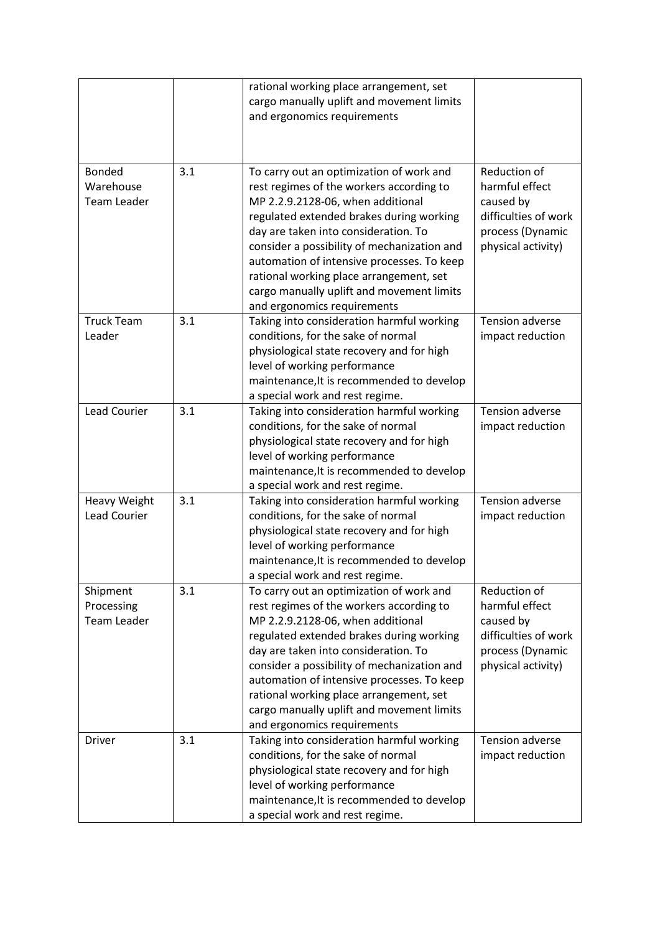|                                                  |     | rational working place arrangement, set<br>cargo manually uplift and movement limits<br>and ergonomics requirements                                                                                                                                                                                                                                                                                                               |                                                                                                               |
|--------------------------------------------------|-----|-----------------------------------------------------------------------------------------------------------------------------------------------------------------------------------------------------------------------------------------------------------------------------------------------------------------------------------------------------------------------------------------------------------------------------------|---------------------------------------------------------------------------------------------------------------|
| <b>Bonded</b><br>Warehouse<br><b>Team Leader</b> | 3.1 | To carry out an optimization of work and<br>rest regimes of the workers according to<br>MP 2.2.9.2128-06, when additional<br>regulated extended brakes during working<br>day are taken into consideration. To<br>consider a possibility of mechanization and<br>automation of intensive processes. To keep<br>rational working place arrangement, set<br>cargo manually uplift and movement limits<br>and ergonomics requirements | Reduction of<br>harmful effect<br>caused by<br>difficulties of work<br>process (Dynamic<br>physical activity) |
| <b>Truck Team</b><br>Leader                      | 3.1 | Taking into consideration harmful working<br>conditions, for the sake of normal<br>physiological state recovery and for high<br>level of working performance<br>maintenance, It is recommended to develop<br>a special work and rest regime.                                                                                                                                                                                      | Tension adverse<br>impact reduction                                                                           |
| <b>Lead Courier</b>                              | 3.1 | Taking into consideration harmful working<br>conditions, for the sake of normal<br>physiological state recovery and for high<br>level of working performance<br>maintenance, It is recommended to develop<br>a special work and rest regime.                                                                                                                                                                                      | Tension adverse<br>impact reduction                                                                           |
| <b>Heavy Weight</b><br><b>Lead Courier</b>       | 3.1 | Taking into consideration harmful working<br>conditions, for the sake of normal<br>physiological state recovery and for high<br>level of working performance<br>maintenance, It is recommended to develop<br>a special work and rest regime.                                                                                                                                                                                      | Tension adverse<br>impact reduction                                                                           |
| Shipment<br>Processing<br><b>Team Leader</b>     | 3.1 | To carry out an optimization of work and<br>rest regimes of the workers according to<br>MP 2.2.9.2128-06, when additional<br>regulated extended brakes during working<br>day are taken into consideration. To<br>consider a possibility of mechanization and<br>automation of intensive processes. To keep<br>rational working place arrangement, set<br>cargo manually uplift and movement limits<br>and ergonomics requirements | Reduction of<br>harmful effect<br>caused by<br>difficulties of work<br>process (Dynamic<br>physical activity) |
| Driver                                           | 3.1 | Taking into consideration harmful working<br>conditions, for the sake of normal<br>physiological state recovery and for high<br>level of working performance<br>maintenance, It is recommended to develop<br>a special work and rest regime.                                                                                                                                                                                      | Tension adverse<br>impact reduction                                                                           |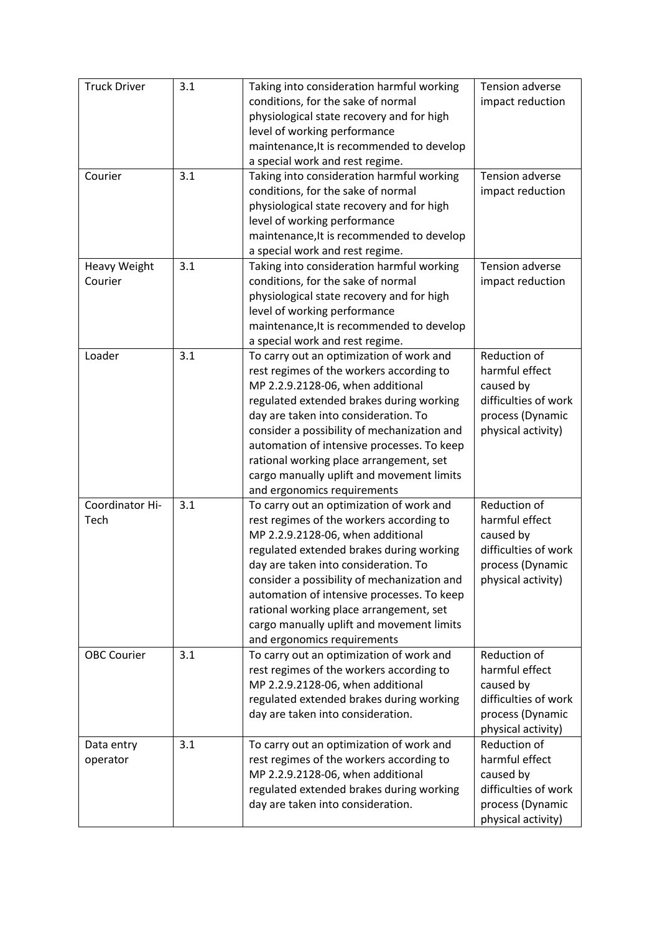| <b>Truck Driver</b>            | 3.1 | Taking into consideration harmful working<br>conditions, for the sake of normal<br>physiological state recovery and for high<br>level of working performance<br>maintenance, It is recommended to develop<br>a special work and rest regime.                                                                                                                                                                                      | <b>Tension adverse</b><br>impact reduction                                                                    |
|--------------------------------|-----|-----------------------------------------------------------------------------------------------------------------------------------------------------------------------------------------------------------------------------------------------------------------------------------------------------------------------------------------------------------------------------------------------------------------------------------|---------------------------------------------------------------------------------------------------------------|
| Courier                        | 3.1 | Taking into consideration harmful working<br>conditions, for the sake of normal<br>physiological state recovery and for high<br>level of working performance<br>maintenance, It is recommended to develop<br>a special work and rest regime.                                                                                                                                                                                      | Tension adverse<br>impact reduction                                                                           |
| <b>Heavy Weight</b><br>Courier | 3.1 | Taking into consideration harmful working<br>conditions, for the sake of normal<br>physiological state recovery and for high<br>level of working performance<br>maintenance, It is recommended to develop<br>a special work and rest regime.                                                                                                                                                                                      | <b>Tension adverse</b><br>impact reduction                                                                    |
| Loader                         | 3.1 | To carry out an optimization of work and<br>rest regimes of the workers according to<br>MP 2.2.9.2128-06, when additional<br>regulated extended brakes during working<br>day are taken into consideration. To<br>consider a possibility of mechanization and<br>automation of intensive processes. To keep<br>rational working place arrangement, set<br>cargo manually uplift and movement limits<br>and ergonomics requirements | Reduction of<br>harmful effect<br>caused by<br>difficulties of work<br>process (Dynamic<br>physical activity) |
| Coordinator Hi-<br>Tech        | 3.1 | To carry out an optimization of work and<br>rest regimes of the workers according to<br>MP 2.2.9.2128-06, when additional<br>regulated extended brakes during working<br>day are taken into consideration. To<br>consider a possibility of mechanization and<br>automation of intensive processes. To keep<br>rational working place arrangement, set<br>cargo manually uplift and movement limits<br>and ergonomics requirements | Reduction of<br>harmful effect<br>caused by<br>difficulties of work<br>process (Dynamic<br>physical activity) |
| <b>OBC Courier</b>             | 3.1 | To carry out an optimization of work and<br>rest regimes of the workers according to<br>MP 2.2.9.2128-06, when additional<br>regulated extended brakes during working<br>day are taken into consideration.                                                                                                                                                                                                                        | Reduction of<br>harmful effect<br>caused by<br>difficulties of work<br>process (Dynamic<br>physical activity) |
| Data entry<br>operator         | 3.1 | To carry out an optimization of work and<br>rest regimes of the workers according to<br>MP 2.2.9.2128-06, when additional<br>regulated extended brakes during working<br>day are taken into consideration.                                                                                                                                                                                                                        | Reduction of<br>harmful effect<br>caused by<br>difficulties of work<br>process (Dynamic<br>physical activity) |